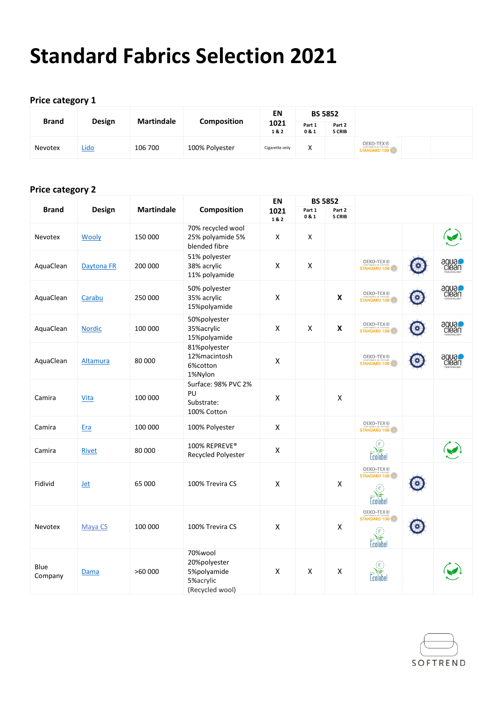# **Standard Fabrics Selection 2021**

#### **Price category 1**

| <b>Brand</b> |             |                   |                    | ΕN             |               | <b>BS 5852</b>   |                                         |  |
|--------------|-------------|-------------------|--------------------|----------------|---------------|------------------|-----------------------------------------|--|
|              | Design      | <b>Martindale</b> | <b>Composition</b> | 1021<br>1&2    | Part 1<br>0&1 | Part 2<br>5 CRIB |                                         |  |
| Nevotex      | <u>Lido</u> | 106 700           | 100% Polyester     | Cigarette only | Χ             |                  | <b>OEKO-TEX®</b><br><b>STANDARD 100</b> |  |

### **Price category 2**

|                 |               |                   |                                                                        | EN                 |                    | <b>BS 5852</b>     |                                                                |                       |
|-----------------|---------------|-------------------|------------------------------------------------------------------------|--------------------|--------------------|--------------------|----------------------------------------------------------------|-----------------------|
| <b>Brand</b>    | Design        | <b>Martindale</b> | Composition                                                            | 1021<br>1&2        | Part 1<br>0 & 1    | Part 2<br>5 CRIB   |                                                                |                       |
| Nevotex         | Wooly         | 150 000           | 70% recycled wool<br>25% polyamide 5%<br>blended fibre                 | X                  | X                  |                    |                                                                |                       |
| AquaClean       | Daytona FR    | 200 000           | 51% polyester<br>38% acrylic<br>11% polyamide                          | $\pmb{\mathsf{X}}$ | $\pmb{\mathsf{X}}$ |                    | OEKO-TEX®<br><b>STANDARD 100</b>                               | aqua<br>Clean         |
| AquaClean       | Carabu        | 250 000           | 50% polyester<br>35% acrylic<br>15%polyamide                           | X                  |                    | $\pmb{\mathsf{X}}$ | OEKO-TEX®<br><b>STANDARD 100</b>                               | <b>DESPO</b><br>Clean |
| AquaClean       | <b>Nordic</b> | 100 000           | 50%polyester<br>35% acrylic<br>15%polyamide                            | X                  | $\pmb{\mathsf{X}}$ | $\pmb{\mathsf{X}}$ | OEKO-TEX®<br><b>STANDARD 100</b>                               | <b>DRAD</b><br>Clean  |
| AquaClean       | Altamura      | 80 000            | 81%polyester<br>12%macintosh<br>6%cotton<br>1%Nylon                    | $\pmb{\mathsf{X}}$ |                    |                    | <b>OEKO-TEX®</b><br><b>STANDARD 100</b>                        | aqua<br>Clean         |
| Camira          | Vita          | 100 000           | Surface: 98% PVC 2%<br>PU<br>Substrate:<br>100% Cotton                 | X                  |                    | X                  |                                                                |                       |
| Camira          | <b>Era</b>    | 100 000           | 100% Polyester                                                         | $\mathsf{x}$       |                    |                    | <b>OEKO-TEX®</b><br><b>STANDARD 100</b>                        |                       |
| Camira          | <b>Rivet</b>  | 80 000            | 100% REPREVE®<br>Recycled Polyester                                    | X                  |                    |                    | $\{\epsilon\}$<br>Ecolabel                                     |                       |
| Fidivid         | <b>Jet</b>    | 65 000            | 100% Trevira CS                                                        | X                  |                    | X                  | OEKO-TEX®<br><b>STANDARD 100</b><br>363<br>Ecolabel            |                       |
| <b>Nevotex</b>  | Maya CS       | 100 000           | 100% Trevira CS                                                        | Χ                  |                    | X                  | OEKO-TEX®<br><b>STANDARD 100</b><br>$\{\epsilon\}$<br>Ecolabel |                       |
| Blue<br>Company | Dama          | >60000            | 70%wool<br>20%polyester<br>5%polyamide<br>5%acrylic<br>(Recycled wool) | X                  | X                  | X                  | {€}<br>Ecolabel                                                |                       |

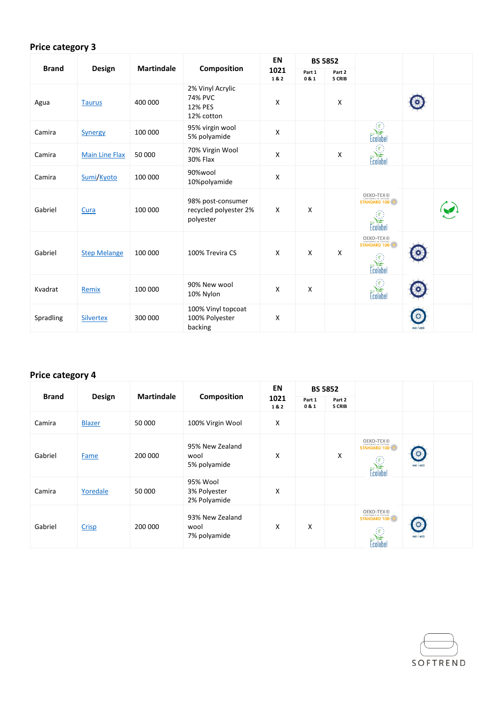# **Price category 3**

|              |                       |                   |                                                                    | <b>EN</b>   | <b>BS 5852</b>  |                  |                                              |                  |  |
|--------------|-----------------------|-------------------|--------------------------------------------------------------------|-------------|-----------------|------------------|----------------------------------------------|------------------|--|
| <b>Brand</b> | Design                | <b>Martindale</b> | Composition                                                        | 1021<br>1&2 | Part 1<br>0 & 1 | Part 2<br>5 CRIB |                                              |                  |  |
| Agua         | <b>Taurus</b>         | 400 000           | 2% Vinyl Acrylic<br><b>74% PVC</b><br><b>12% PES</b><br>12% cotton | X           |                 | X                |                                              |                  |  |
| Camira       | <b>Synergy</b>        | 100 000           | 95% virgin wool<br>5% polyamide                                    | X           |                 |                  | $\epsilon$<br>colabel                        |                  |  |
| Camira       | <b>Main Line Flax</b> | 50 000            | 70% Virgin Wool<br><b>30% Flax</b>                                 | X           |                 | X                | $\langle \hat{\epsilon} \rangle$<br>Ecolabel |                  |  |
| Camira       | Sumi/Kyoto            | 100 000           | 90%wool<br>10%polyamide                                            | X           |                 |                  |                                              |                  |  |
| Gabriel      | Cura                  | 100 000           | 98% post-consumer<br>recycled polyester 2%<br>polyester            | X           | X               |                  | <b>OEKO-TEX</b> ®<br>Ecolabe                 |                  |  |
| Gabriel      | <b>Step Melange</b>   | 100 000           | 100% Trevira CS                                                    | X           | $\mathsf{X}$    | X                | <b>OEKO-TEX</b> ®<br>Ecolabel                |                  |  |
| Kvadrat      | Remix                 | 100 000           | 90% New wool<br>10% Nylon                                          | X           | X               |                  |                                              |                  |  |
| Spradling    | <b>Silvertex</b>      | 300 000           | 100% Vinyl topcoat<br>100% Polyester<br>backing                    | X           |                 |                  |                                              | <b>IMO / MED</b> |  |

# **Price category 4**

| <b>Brand</b> |               |                   |                                          | EN          | <b>BS 5852</b>  |                  |                                                                                        |                      |  |
|--------------|---------------|-------------------|------------------------------------------|-------------|-----------------|------------------|----------------------------------------------------------------------------------------|----------------------|--|
|              | Design        | <b>Martindale</b> | <b>Composition</b>                       | 1021<br>1&2 | Part 1<br>0 & 1 | Part 2<br>5 CRIB |                                                                                        |                      |  |
| Camira       | <b>Blazer</b> | 50 000            | 100% Virgin Wool                         | X           |                 |                  |                                                                                        |                      |  |
| Gabriel      | <b>Fame</b>   | 200 000           | 95% New Zealand<br>wool<br>5% polyamide  | X           |                 | X                | <b>OEKO-TEX®</b><br>STANDARD 100<br>$\langle \hat{\epsilon} \rangle$<br>必有<br>Ecolabel | $\circ$<br>IMO / MED |  |
| Camira       | Yoredale      | 50 000            | 95% Wool<br>3% Polyester<br>2% Polyamide | X           |                 |                  |                                                                                        |                      |  |
| Gabriel      | Crisp         | 200 000           | 93% New Zealand<br>wool<br>7% polyamide  | X           | Χ               |                  | <b>OEKO-TEX®</b><br>STANDARD 100<br>$\{\epsilon\}$                                     | IMO / MED            |  |